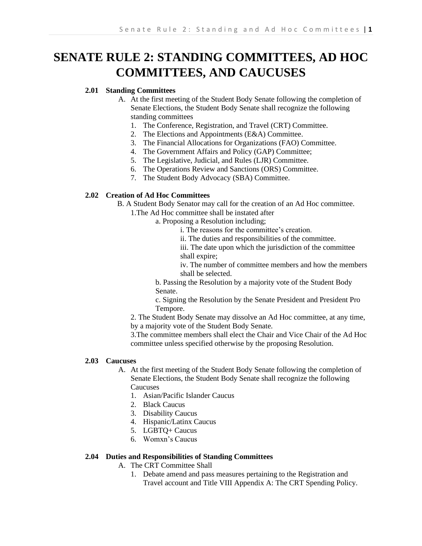# **SENATE RULE 2: STANDING COMMITTEES, AD HOC COMMITTEES, AND CAUCUSES**

# **2.01 Standing Committees**

- A. At the first meeting of the Student Body Senate following the completion of Senate Elections, the Student Body Senate shall recognize the following standing committees
	- 1. The Conference, Registration, and Travel (CRT) Committee.
	- 2. The Elections and Appointments (E&A) Committee.
	- 3. The Financial Allocations for Organizations (FAO) Committee.
	- 4. The Government Affairs and Policy (GAP) Committee;
	- 5. The Legislative, Judicial, and Rules (LJR) Committee.
	- 6. The Operations Review and Sanctions (ORS) Committee.
	- 7. The Student Body Advocacy (SBA) Committee.

## **2.02 Creation of Ad Hoc Committees**

B. A Student Body Senator may call for the creation of an Ad Hoc committee.

- 1.The Ad Hoc committee shall be instated after
	- a. Proposing a Resolution including;

i. The reasons for the committee's creation.

ii. The duties and responsibilities of the committee.

iii. The date upon which the jurisdiction of the committee shall expire;

iv. The number of committee members and how the members shall be selected.

b. Passing the Resolution by a majority vote of the Student Body Senate.

c. Signing the Resolution by the Senate President and President Pro Tempore.

2. The Student Body Senate may dissolve an Ad Hoc committee, at any time, by a majority vote of the Student Body Senate.

3.The committee members shall elect the Chair and Vice Chair of the Ad Hoc committee unless specified otherwise by the proposing Resolution.

## **2.03 Caucuses**

- A. At the first meeting of the Student Body Senate following the completion of Senate Elections, the Student Body Senate shall recognize the following **Caucuses** 
	- 1. Asian/Pacific Islander Caucus
	- 2. Black Caucus
	- 3. Disability Caucus
	- 4. Hispanic/Latinx Caucus
	- 5. LGBTQ+ Caucus
	- 6. Womxn's Caucus

## **2.04 Duties and Responsibilities of Standing Committees**

A. The CRT Committee Shall

1. Debate amend and pass measures pertaining to the Registration and Travel account and Title VIII Appendix A: The CRT Spending Policy.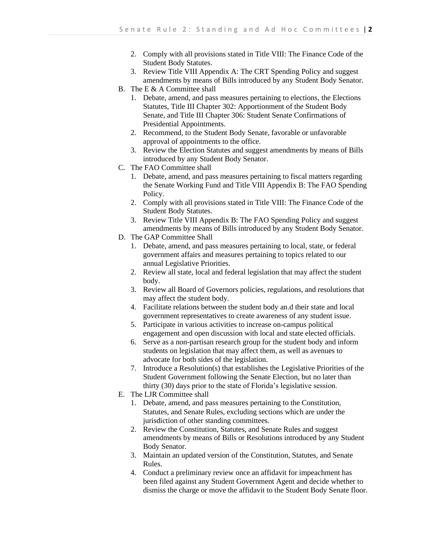- 2. Comply with all provisions stated in Title VIII: The Finance Code of the Student Body Statutes.
- 3. Review Title VIII Appendix A: The CRT Spending Policy and suggest amendments by means of Bills introduced by any Student Body Senator.
- B. The E & A Committee shall
	- 1. Debate, amend, and pass measures pertaining to elections, the Elections Statutes, Title III Chapter 302: Apportionment of the Student Body Senate, and Title III Chapter 306: Student Senate Confirmations of Presidential Appointments.
	- 2. Recommend, to the Student Body Senate, favorable or unfavorable approval of appointments to the office.
	- 3. Review the Election Statutes and suggest amendments by means of Bills introduced by any Student Body Senator.
- C. The FAO Committee shall
	- 1. Debate, amend, and pass measures pertaining to fiscal matters regarding the Senate Working Fund and Title VIII Appendix B: The FAO Spending Policy.
	- 2. Comply with all provisions stated in Title VIII: The Finance Code of the Student Body Statutes.
	- 3. Review Title VIII Appendix B: The FAO Spending Policy and suggest amendments by means of Bills introduced by any Student Body Senator.
- D. The GAP Committee Shall
	- 1. Debate, amend, and pass measures pertaining to local, state, or federal government affairs and measures pertaining to topics related to our annual Legislative Priorities.
	- 2. Review all state, local and federal legislation that may affect the student body.
	- 3. Review all Board of Governors policies, regulations, and resolutions that may affect the student body.
	- 4. Facilitate relations between the student body an.d their state and local government representatives to create awareness of any student issue.
	- 5. Participate in various activities to increase on-campus political engagement and open discussion with local and state elected officials.
	- 6. Serve as a non-partisan research group for the student body and inform students on legislation that may affect them, as well as avenues to advocate for both sides of the legislation.
	- 7. Introduce a Resolution(s) that establishes the Legislative Priorities of the Student Government following the Senate Election, but no later than thirty (30) days prior to the state of Florida's legislative session.
- E. The LJR Committee shall
	- 1. Debate, amend, and pass measures pertaining to the Constitution, Statutes, and Senate Rules, excluding sections which are under the jurisdiction of other standing committees.
	- 2. Review the Constitution, Statutes, and Senate Rules and suggest amendments by means of Bills or Resolutions introduced by any Student Body Senator.
	- 3. Maintain an updated version of the Constitution, Statutes, and Senate Rules.
	- 4. Conduct a preliminary review once an affidavit for impeachment has been filed against any Student Government Agent and decide whether to dismiss the charge or move the affidavit to the Student Body Senate floor.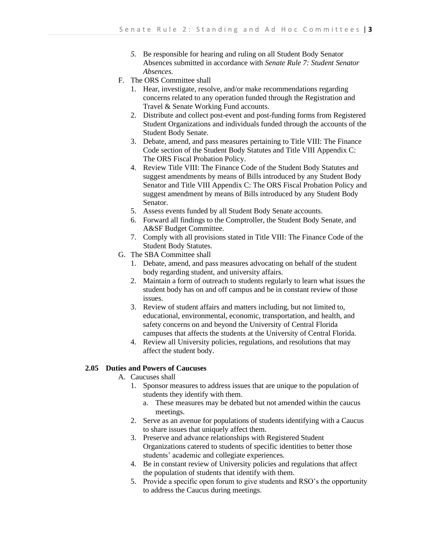- *5.* Be responsible for hearing and ruling on all Student Body Senator Absences submitted in accordance with *Senate Rule 7: Student Senator Absences.*
- F. The ORS Committee shall
	- 1. Hear, investigate, resolve, and/or make recommendations regarding concerns related to any operation funded through the Registration and Travel & Senate Working Fund accounts.
	- 2. Distribute and collect post-event and post-funding forms from Registered Student Organizations and individuals funded through the accounts of the Student Body Senate.
	- 3. Debate, amend, and pass measures pertaining to Title VIII: The Finance Code section of the Student Body Statutes and Title VIII Appendix C: The ORS Fiscal Probation Policy.
	- 4. Review Title VIII: The Finance Code of the Student Body Statutes and suggest amendments by means of Bills introduced by any Student Body Senator and Title VIII Appendix C: The ORS Fiscal Probation Policy and suggest amendment by means of Bills introduced by any Student Body Senator.
	- 5. Assess events funded by all Student Body Senate accounts.
	- 6. Forward all findings to the Comptroller, the Student Body Senate, and A&SF Budget Committee.
	- 7. Comply with all provisions stated in Title VIII: The Finance Code of the Student Body Statutes.
- G. The SBA Committee shall
	- 1. Debate, amend, and pass measures advocating on behalf of the student body regarding student, and university affairs.
	- 2. Maintain a form of outreach to students regularly to learn what issues the student body has on and off campus and be in constant review of those issues.
	- 3. Review of student affairs and matters including, but not limited to, educational, environmental, economic, transportation, and health, and safety concerns on and beyond the University of Central Florida campuses that affects the students at the University of Central Florida.
	- 4. Review all University policies, regulations, and resolutions that may affect the student body.

## **2.05 Duties and Powers of Caucuses**

- A. Caucuses shall
	- 1. Sponsor measures to address issues that are unique to the population of students they identify with them.
		- a. These measures may be debated but not amended within the caucus meetings.
	- 2. Serve as an avenue for populations of students identifying with a Caucus to share issues that uniquely affect them.
	- 3. Preserve and advance relationships with Registered Student Organizations catered to students of specific identities to better those students' academic and collegiate experiences.
	- 4. Be in constant review of University policies and regulations that affect the population of students that identify with them.
	- 5. Provide a specific open forum to give students and RSO's the opportunity to address the Caucus during meetings.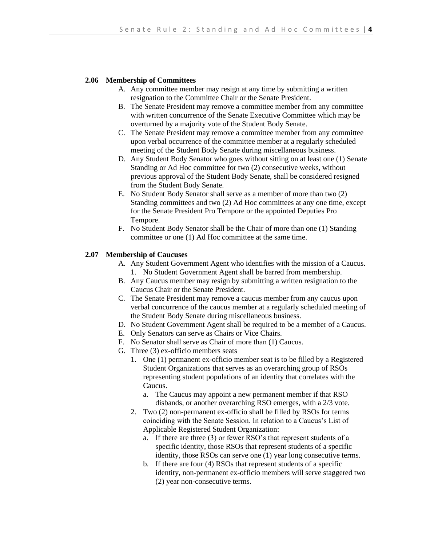#### **2.06 Membership of Committees**

- A. Any committee member may resign at any time by submitting a written resignation to the Committee Chair or the Senate President.
- B. The Senate President may remove a committee member from any committee with written concurrence of the Senate Executive Committee which may be overturned by a majority vote of the Student Body Senate.
- C. The Senate President may remove a committee member from any committee upon verbal occurrence of the committee member at a regularly scheduled meeting of the Student Body Senate during miscellaneous business.
- D. Any Student Body Senator who goes without sitting on at least one (1) Senate Standing or Ad Hoc committee for two (2) consecutive weeks, without previous approval of the Student Body Senate, shall be considered resigned from the Student Body Senate.
- E. No Student Body Senator shall serve as a member of more than two (2) Standing committees and two (2) Ad Hoc committees at any one time, except for the Senate President Pro Tempore or the appointed Deputies Pro Tempore.
- F. No Student Body Senator shall be the Chair of more than one (1) Standing committee or one (1) Ad Hoc committee at the same time.

#### **2.07 Membership of Caucuses**

- A. Any Student Government Agent who identifies with the mission of a Caucus. 1. No Student Government Agent shall be barred from membership.
- B. Any Caucus member may resign by submitting a written resignation to the Caucus Chair or the Senate President.
- C. The Senate President may remove a caucus member from any caucus upon verbal concurrence of the caucus member at a regularly scheduled meeting of the Student Body Senate during miscellaneous business.
- D. No Student Government Agent shall be required to be a member of a Caucus.
- E. Only Senators can serve as Chairs or Vice Chairs.
- F. No Senator shall serve as Chair of more than (1) Caucus.
- G. Three (3) ex-officio members seats
	- 1. One (1) permanent ex-officio member seat is to be filled by a Registered Student Organizations that serves as an overarching group of RSOs representing student populations of an identity that correlates with the Caucus.
		- a. The Caucus may appoint a new permanent member if that RSO disbands, or another overarching RSO emerges, with a 2/3 vote.
	- 2. Two (2) non-permanent ex-officio shall be filled by RSOs for terms coinciding with the Senate Session. In relation to a Caucus's List of Applicable Registered Student Organization:
		- a. If there are three (3) or fewer RSO's that represent students of a specific identity, those RSOs that represent students of a specific identity, those RSOs can serve one (1) year long consecutive terms.
		- b. If there are four (4) RSOs that represent students of a specific identity, non-permanent ex-officio members will serve staggered two (2) year non-consecutive terms.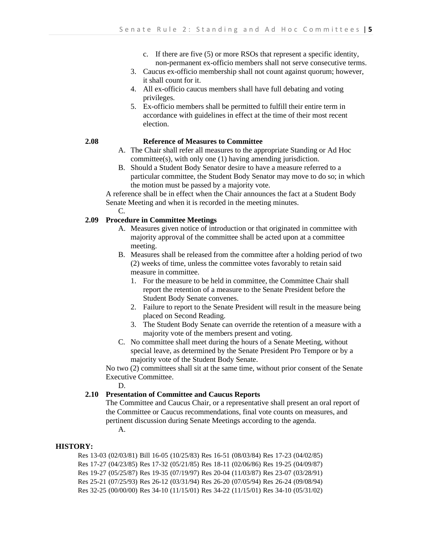- c. If there are five (5) or more RSOs that represent a specific identity, non-permanent ex-officio members shall not serve consecutive terms.
- 3. Caucus ex-officio membership shall not count against quorum; however, it shall count for it.
- 4. All ex-officio caucus members shall have full debating and voting privileges.
- 5. Ex-officio members shall be permitted to fulfill their entire term in accordance with guidelines in effect at the time of their most recent election.

## **2.08 Reference of Measures to Committee**

- A. The Chair shall refer all measures to the appropriate Standing or Ad Hoc committee(s), with only one (1) having amending jurisdiction.
- B. Should a Student Body Senator desire to have a measure referred to a particular committee, the Student Body Senator may move to do so; in which the motion must be passed by a majority vote.

A reference shall be in effect when the Chair announces the fact at a Student Body Senate Meeting and when it is recorded in the meeting minutes.

C.

## **2.09 Procedure in Committee Meetings**

- A. Measures given notice of introduction or that originated in committee with majority approval of the committee shall be acted upon at a committee meeting.
- B. Measures shall be released from the committee after a holding period of two (2) weeks of time, unless the committee votes favorably to retain said measure in committee.
	- 1. For the measure to be held in committee, the Committee Chair shall report the retention of a measure to the Senate President before the Student Body Senate convenes.
	- 2. Failure to report to the Senate President will result in the measure being placed on Second Reading.
	- 3. The Student Body Senate can override the retention of a measure with a majority vote of the members present and voting.
- C. No committee shall meet during the hours of a Senate Meeting, without special leave, as determined by the Senate President Pro Tempore or by a majority vote of the Student Body Senate.

No two (2) committees shall sit at the same time, without prior consent of the Senate Executive Committee.

D.

## **2.10 Presentation of Committee and Caucus Reports**

The Committee and Caucus Chair, or a representative shall present an oral report of the Committee or Caucus recommendations, final vote counts on measures, and pertinent discussion during Senate Meetings according to the agenda. A.

**HISTORY:**

Res 13-03 (02/03/81) Bill 16-05 (10/25/83) Res 16-51 (08/03/84) Res 17-23 (04/02/85) Res 17-27 (04/23/85) Res 17-32 (05/21/85) Res 18-11 (02/06/86) Res 19-25 (04/09/87) Res 19-27 (05/25/87) Res 19-35 (07/19/97) Res 20-04 (11/03/87) Res 23-07 (03/28/91) Res 25-21 (07/25/93) Res 26-12 (03/31/94) Res 26-20 (07/05/94) Res 26-24 (09/08/94) Res 32-25 (00/00/00) Res 34-10 (11/15/01) Res 34-22 (11/15/01) Res 34-10 (05/31/02)